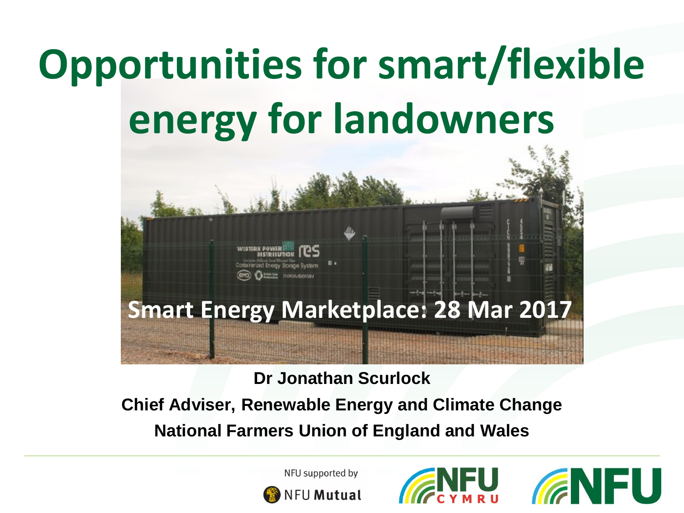## **Opportunities for smart/flexible energy for landowners**



#### **Dr Jonathan Scurlock**

**Chief Adviser, Renewable Energy and Climate Change National Farmers Union of England and Wales**



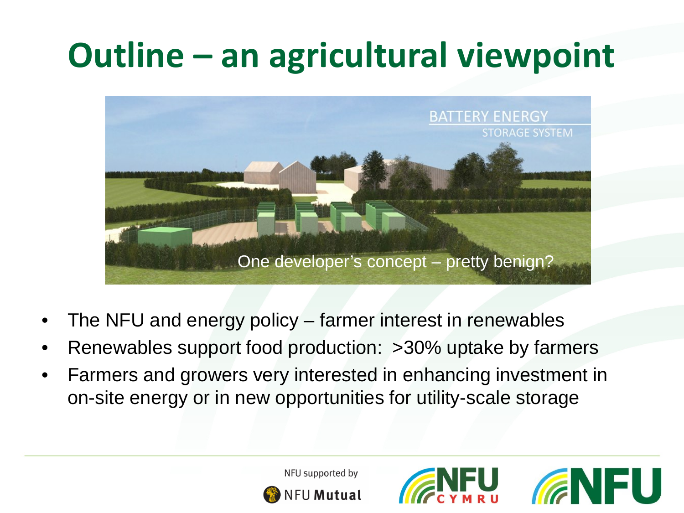## **Outline – an agricultural viewpoint**



- The NFU and energy policy farmer interest in renewables
- Renewables support food production: >30% uptake by farmers
- Farmers and growers very interested in enhancing investment in on-site energy or in new opportunities for utility-scale storage

NFU supported by

**NFU Mutual** 

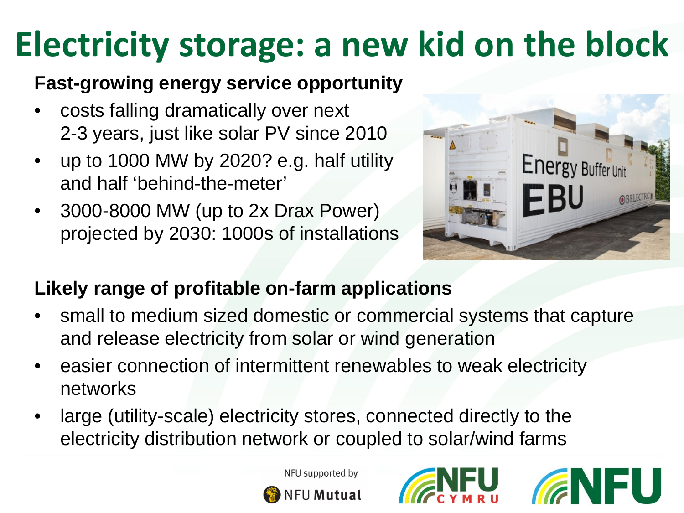## **Electricity storage: a new kid on the block**

### **Fast-growing energy service opportunity**

- costs falling dramatically over next 2-3 years, just like solar PV since 2010
- up to 1000 MW by 2020? e.g. half utility and half 'behind-the-meter'
- 3000-8000 MW (up to 2x Drax Power) projected by 2030: 1000s of installations



### **Likely range of profitable on-farm applications**

- small to medium sized domestic or commercial systems that capture and release electricity from solar or wind generation
- easier connection of intermittent renewables to weak electricity networks
- large (utility-scale) electricity stores, connected directly to the electricity distribution network or coupled to solar/wind farms



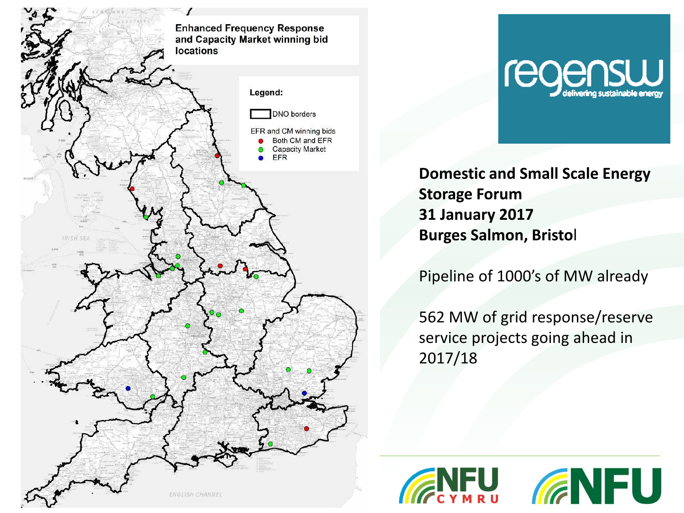



**Domestic and Small Scale Energy Storage Forum 31 January 2017 Burges Salmon, Bristo**l

Pipeline of 1000's of MW already

562 MW of grid response/reserve service projects going ahead in 2017/18

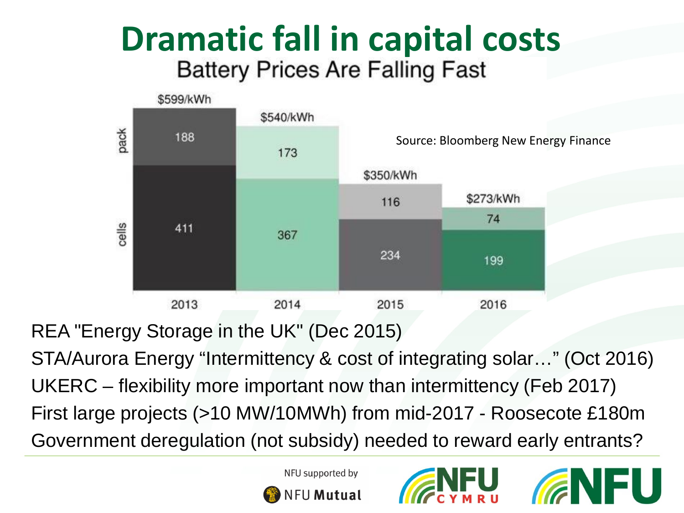# **Dramatic fall in capital costs**<br>Battery Prices Are Falling Fast



REA "Energy Storage in the UK" (Dec 2015)

STA/Aurora Energy "Intermittency & cost of integrating solar…" (Oct 2016) UKERC – flexibility more important now than intermittency (Feb 2017) First large projects (>10 MW/10MWh) from mid-2017 - Roosecote £180m Government deregulation (not subsidy) needed to reward early entrants?





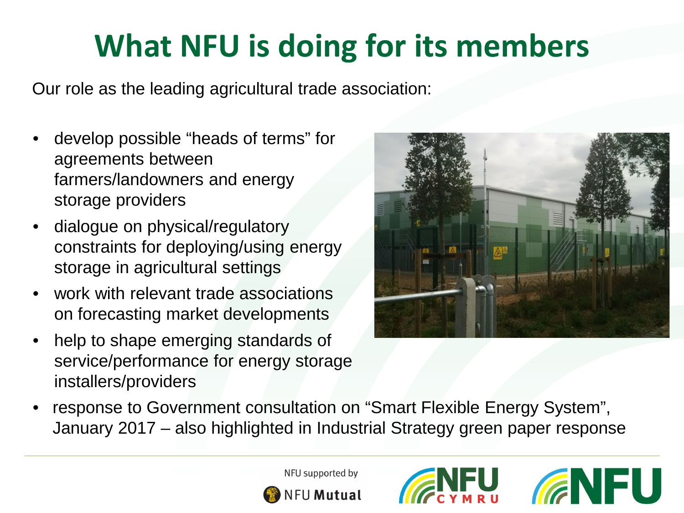### **What NFU is doing for its members**

Our role as the leading agricultural trade association:

- develop possible "heads of terms" for agreements between farmers/landowners and energy storage providers
- dialogue on physical/regulatory constraints for deploying/using energy storage in agricultural settings
- work with relevant trade associations on forecasting market developments
- help to shape emerging standards of service/performance for energy storage installers/providers



• response to Government consultation on "Smart Flexible Energy System", January 2017 – also highlighted in Industrial Strategy green paper response





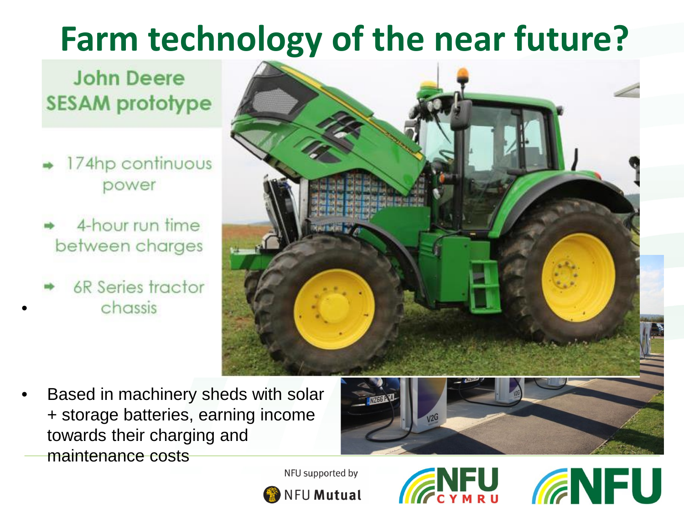## **Farm technology of the near future?**

### **John Deere SESAM** prototype

- 174hp continuous power
- 4-hour run time between charges
- 6R Series tractor chassis



• Based in machinery sheds with solar + storage batteries, earning income towards their charging and maintenance costs



**ENFU**